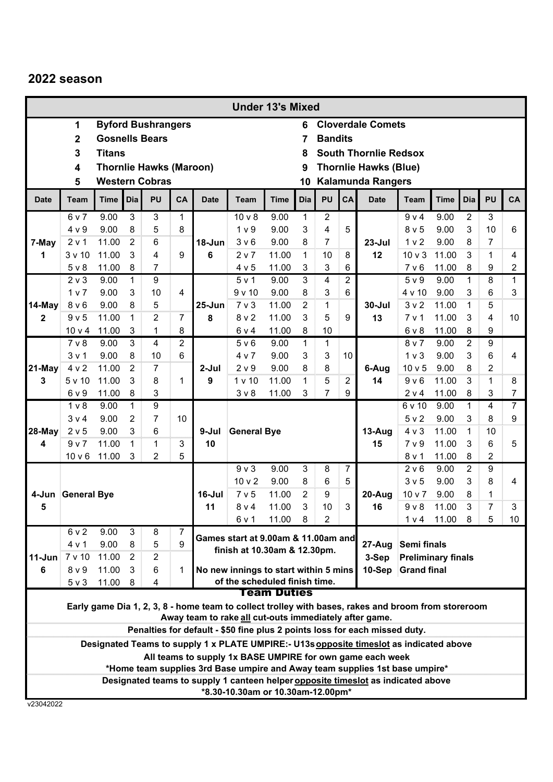### **2022 season**

| <b>Under 13's Mixed</b>                                                                                                              |                   |                                                            |                |                |              |                                                             |                               |             |            |                              |                              |                                                                                                                                                                 |                                    |               |                |                 |    |  |  |
|--------------------------------------------------------------------------------------------------------------------------------------|-------------------|------------------------------------------------------------|----------------|----------------|--------------|-------------------------------------------------------------|-------------------------------|-------------|------------|------------------------------|------------------------------|-----------------------------------------------------------------------------------------------------------------------------------------------------------------|------------------------------------|---------------|----------------|-----------------|----|--|--|
|                                                                                                                                      | 1                 | <b>Byford Bushrangers</b><br>6                             |                |                |              |                                                             |                               |             |            |                              |                              | <b>Cloverdale Comets</b>                                                                                                                                        |                                    |               |                |                 |    |  |  |
|                                                                                                                                      | $\mathbf 2$       | <b>Gosnells Bears</b><br><b>Bandits</b><br>7               |                |                |              |                                                             |                               |             |            |                              |                              |                                                                                                                                                                 |                                    |               |                |                 |    |  |  |
|                                                                                                                                      | 3                 | <b>Titans</b><br>8                                         |                |                |              |                                                             |                               |             |            | <b>South Thornlie Redsox</b> |                              |                                                                                                                                                                 |                                    |               |                |                 |    |  |  |
|                                                                                                                                      | 4                 | <b>Thornlie Hawks (Maroon)</b><br>9                        |                |                |              |                                                             |                               |             |            |                              | <b>Thornlie Hawks (Blue)</b> |                                                                                                                                                                 |                                    |               |                |                 |    |  |  |
|                                                                                                                                      | 5                 | <b>Western Cobras</b><br>10                                |                |                |              |                                                             |                               |             |            |                              | <b>Kalamunda Rangers</b>     |                                                                                                                                                                 |                                    |               |                |                 |    |  |  |
| <b>Date</b>                                                                                                                          | Team              | <b>Time</b>                                                | <b>Dia</b>     | <b>PU</b>      | CA           | <b>Date</b>                                                 | Team                          | <b>Time</b> | <b>Dia</b> | PU                           | CA                           | <b>Date</b>                                                                                                                                                     | Team                               | Time          | <b>Dia</b>     | PU              | CA |  |  |
|                                                                                                                                      | 6 v 7             | 9.00                                                       | 3              | $\mathfrak{S}$ | $\mathbf{1}$ |                                                             | 10 <sub>v</sub>               | 9.00        | 1          | $\overline{2}$               |                              |                                                                                                                                                                 | 9 <sub>v</sub> 4                   | 9.00          | $\overline{2}$ | 3               |    |  |  |
|                                                                                                                                      | 4 v 9             | 9.00                                                       | 8              | 5              | 8            |                                                             | 1 <sub>v</sub> 9              | 9.00        | 3          | 4                            | 5                            |                                                                                                                                                                 | 8 v 5                              | 9.00          | 3              | 10              | 6  |  |  |
| 7-May                                                                                                                                | 2 v 1             | 11.00                                                      | 2              | 6              |              | $18 - Jun$                                                  | 3 <sub>v</sub> 6              | 9.00        | 8          | 7                            |                              | $23 -$ Jul<br>12                                                                                                                                                | 1 <sub>v</sub>                     | 9.00          | 8              | 7               |    |  |  |
| 1                                                                                                                                    | 3v10              | 11.00                                                      | 3              | 4              | 9            | 6                                                           | 2 v 7                         | 11.00       | 1          | 10                           | 8                            |                                                                                                                                                                 | 10 <sub>v</sub>                    | 11.00         | 3              | $\mathbf{1}$    | 4  |  |  |
|                                                                                                                                      | 5 <sub>v</sub>    | 11.00                                                      | 8              | 7              |              |                                                             | 4 v 5                         | 11.00       | 3          | 3                            | 6                            |                                                                                                                                                                 | 7 <sub>v</sub> 6                   | 11.00         | 8              | 9               | 2  |  |  |
|                                                                                                                                      | $2 \vee 3$        | 9.00                                                       | 1              | 9              |              |                                                             | 5 <sub>v</sub> 1              | 9.00        | 3          | 4                            | $\overline{c}$               | $30 -$ Jul<br>13                                                                                                                                                | 5 v 9                              | 9.00          | 1              | 8               | 1  |  |  |
|                                                                                                                                      | 1 <sub>v</sub>    | 9.00                                                       | 3              | 10             | 4            |                                                             | 9v10                          | 9.00        | 8          | 3                            | 6                            |                                                                                                                                                                 | 4 v 10                             | 9.00          | 3              | 6               | 3  |  |  |
| 14-May                                                                                                                               | 8 <sub>v</sub> 6  | 9.00                                                       | 8              | 5              |              | $25 - Jun$                                                  | 7 <sub>v</sub> 3              | 11.00       | 2          | 1                            |                              |                                                                                                                                                                 | 3 <sub>v</sub>                     | 11.00         | 1              | 5               |    |  |  |
| $\mathbf{2}$                                                                                                                         | 9 <sub>v</sub> 5  | 11.00                                                      | 1              | $\overline{2}$ | 7            | 8                                                           | 8 <sub>v</sub>                | 11.00       | 3          | 5                            | 9                            |                                                                                                                                                                 | 7 v 1                              | 11.00         | 3              | 4               | 10 |  |  |
|                                                                                                                                      | 10 <sub>v</sub>   | 11.00                                                      | 3              | 1              | 8            |                                                             | 6 v 4                         | 11.00       | 8          | 10                           |                              |                                                                                                                                                                 | 6 v 8                              | 11.00         | 8              | 9               |    |  |  |
|                                                                                                                                      | 7 <sub>v</sub> 8  | 9.00                                                       | 3              | 4              | 2            |                                                             | 5 <sub>v</sub> 6              | 9.00        | 1          | 1                            |                              |                                                                                                                                                                 | 8 <sub>v</sub>                     | 9.00          | 2              | 9               |    |  |  |
|                                                                                                                                      | 3 <sub>v</sub> 1  | 9.00                                                       | 8              | 10             | 6            |                                                             | 4 v 7                         | 9.00        | 3          | 3                            | 10                           |                                                                                                                                                                 | 1 <sub>v</sub>                     | 9.00          | 3              | $6\phantom{1}6$ | 4  |  |  |
| 21-May                                                                                                                               | 4 <sub>v</sub>    | 11.00                                                      | 2              | $\overline{7}$ |              | $2-Jul$<br>9                                                | 2 v 9                         | 9.00        | 8          | 8                            |                              | 6-Aug<br>14                                                                                                                                                     | 10 <sub>v</sub> 5                  | 9.00          | 8              | $\overline{2}$  |    |  |  |
| 3                                                                                                                                    | 5v10              | 11.00                                                      | 3              | 8              | 1            |                                                             | 1 <sub>v</sub> 10             | 11.00       | 1          | 5                            | $\overline{c}$               |                                                                                                                                                                 | 9 <sub>v</sub> 6                   | 11.00         | 3              | 1               | 8  |  |  |
|                                                                                                                                      | 6 v 9             | 11.00                                                      | 8              | 3              |              |                                                             | $3v$ 8                        | 11.00       | 3          | 7                            | 9                            |                                                                                                                                                                 | 2 v 4                              | 11.00         | 8              | 3               | 7  |  |  |
| 28-May<br>4                                                                                                                          | 1 <sub>v</sub>    | 9.00                                                       | 1              | 9              |              |                                                             |                               |             |            |                              |                              |                                                                                                                                                                 | 6 v 10                             | 9.00          | 1              | 4               | 7  |  |  |
|                                                                                                                                      | 3 <sub>v</sub>    | 9.00                                                       | 2              | 7              | 10           |                                                             |                               |             |            |                              |                              |                                                                                                                                                                 | 3<br>8<br>5 <sub>v</sub> 2<br>9.00 |               |                |                 | 9  |  |  |
|                                                                                                                                      | 2 v 5             | 9.00                                                       | 3              | 6              |              | 9-Jul                                                       | <b>General Bye</b>            |             |            |                              |                              | 13-Aug                                                                                                                                                          | 4 <sub>v</sub>                     | 11.00         | 1              | 10              |    |  |  |
|                                                                                                                                      | 9 v 7             | 11.00                                                      | 1              | 1              | 3            | 10                                                          |                               |             |            |                              |                              | 15                                                                                                                                                              | 7 <sub>v</sub> 9                   | 11.00         | 3              | 6               | 5  |  |  |
|                                                                                                                                      | 10 <sub>v</sub> 6 | 11.00                                                      | 3              | $\overline{2}$ | 5            |                                                             |                               |             |            |                              |                              |                                                                                                                                                                 | 8 v 1                              | 11.00         | 8              | $\overline{2}$  |    |  |  |
|                                                                                                                                      |                   |                                                            |                |                |              |                                                             | 9 <sub>v</sub>                | 9.00        | 3          | 8                            | 7                            |                                                                                                                                                                 | 2 v 6                              | 9.00          | 2              | 9               |    |  |  |
|                                                                                                                                      |                   |                                                            |                |                |              |                                                             | 10 <sub>v</sub>               | 9.00        | 8          | 6                            | 5                            |                                                                                                                                                                 | 3 <sub>v</sub> 5                   | 9.00          | 3              | 8               | 4  |  |  |
|                                                                                                                                      | 4-Jun General Bye |                                                            |                |                |              | 16-Jul                                                      | 7 <sub>v</sub> 5              | 11.00       | 2          | 9                            |                              | 20-Aug                                                                                                                                                          | 10 <sub>v</sub>                    | 9.00          | 8              | 1               |    |  |  |
| 5                                                                                                                                    |                   |                                                            |                |                |              | 11                                                          | 8 <sub>v</sub>                | 11.00       | 3          | 10                           | 3                            | 16                                                                                                                                                              | $9V$ 8                             | 11.00         | 3              | 7               | 3  |  |  |
|                                                                                                                                      |                   |                                                            |                |                |              |                                                             | 6 v 1                         | 11.00       | 8          | $\overline{2}$               |                              |                                                                                                                                                                 |                                    | 1 v 4 11.00 8 |                | 5               | 10 |  |  |
|                                                                                                                                      | 6 v 2             | 9.00<br>3<br>8<br>7<br>Games start at 9.00am & 11.00am and |                |                |              |                                                             |                               |             |            |                              |                              |                                                                                                                                                                 |                                    |               |                |                 |    |  |  |
|                                                                                                                                      | 4 v 1             | 9.00                                                       | 8              | 5              | 9            |                                                             | finish at 10.30am & 12.30pm.  |             |            |                              |                              | 27-Aug                                                                                                                                                          | Semi finals                        |               |                |                 |    |  |  |
| $11$ -Jun                                                                                                                            | 7 v 10            | 11.00                                                      | $\overline{2}$ | $\overline{2}$ |              |                                                             |                               |             |            |                              |                              | 3-Sep<br><b>Preliminary finals</b>                                                                                                                              |                                    |               |                |                 |    |  |  |
| 6                                                                                                                                    | 8 v 9             | 11.00                                                      | 3              | 6              | 1            | 10-Sep Grand final<br>No new innings to start within 5 mins |                               |             |            |                              |                              |                                                                                                                                                                 |                                    |               |                |                 |    |  |  |
|                                                                                                                                      | $5v$ 3            | 11.00                                                      | 8              | 4              |              |                                                             | of the scheduled finish time. |             |            |                              |                              |                                                                                                                                                                 |                                    |               |                |                 |    |  |  |
|                                                                                                                                      |                   |                                                            |                |                |              |                                                             |                               | Team Duties |            |                              |                              |                                                                                                                                                                 |                                    |               |                |                 |    |  |  |
| Early game Dia 1, 2, 3, 8 - home team to collect trolley with bases, rakes and broom from storeroom                                  |                   |                                                            |                |                |              |                                                             |                               |             |            |                              |                              |                                                                                                                                                                 |                                    |               |                |                 |    |  |  |
| Away team to rake all cut-outs immediately after game.<br>Penalties for default - \$50 fine plus 2 points loss for each missed duty. |                   |                                                            |                |                |              |                                                             |                               |             |            |                              |                              |                                                                                                                                                                 |                                    |               |                |                 |    |  |  |
| Designated Teams to supply 1 x PLATE UMPIRE:- U13s opposite timeslot as indicated above                                              |                   |                                                            |                |                |              |                                                             |                               |             |            |                              |                              |                                                                                                                                                                 |                                    |               |                |                 |    |  |  |
|                                                                                                                                      |                   |                                                            |                |                |              |                                                             |                               |             |            |                              |                              |                                                                                                                                                                 |                                    |               |                |                 |    |  |  |
|                                                                                                                                      |                   |                                                            |                |                |              |                                                             |                               |             |            |                              |                              | All teams to supply 1x BASE UMPIRE for own game each week                                                                                                       |                                    |               |                |                 |    |  |  |
|                                                                                                                                      |                   |                                                            |                |                |              |                                                             |                               |             |            |                              |                              | *Home team supplies 3rd Base umpire and Away team supplies 1st base umpire*<br>Designated teams to supply 1 canteen helper opposite timeslot as indicated above |                                    |               |                |                 |    |  |  |
|                                                                                                                                      |                   |                                                            |                |                |              |                                                             |                               |             |            |                              |                              |                                                                                                                                                                 |                                    |               |                |                 |    |  |  |
| *8.30-10.30am or 10.30am-12.00pm*                                                                                                    |                   |                                                            |                |                |              |                                                             |                               |             |            |                              |                              |                                                                                                                                                                 |                                    |               |                |                 |    |  |  |

v23042022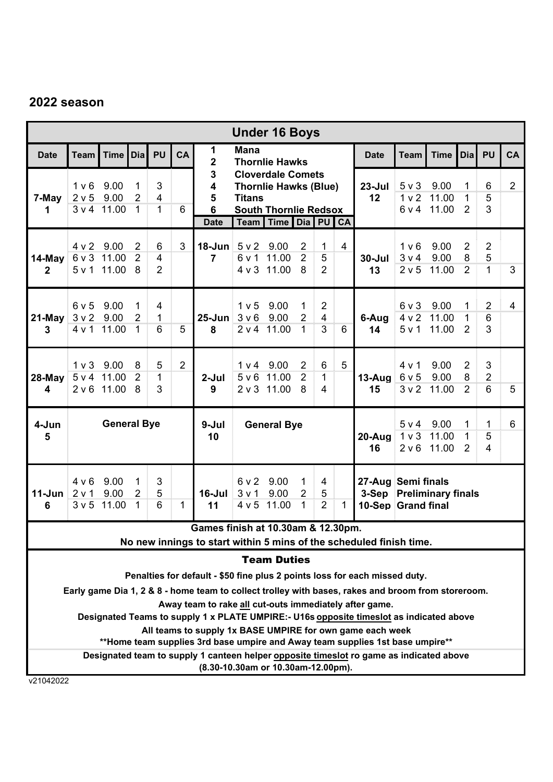## **2022 season**

| <b>Under 16 Boys</b>                                                                                                                                         |                                                                                                                                                                          |                        |                                       |                                                |                    |                                                                                                                                                                                                                                                                              |                                    |                              |                                  |                                                |                          |                                                                                |                                    |                          |                          |                          |                |
|--------------------------------------------------------------------------------------------------------------------------------------------------------------|--------------------------------------------------------------------------------------------------------------------------------------------------------------------------|------------------------|---------------------------------------|------------------------------------------------|--------------------|------------------------------------------------------------------------------------------------------------------------------------------------------------------------------------------------------------------------------------------------------------------------------|------------------------------------|------------------------------|----------------------------------|------------------------------------------------|--------------------------|--------------------------------------------------------------------------------|------------------------------------|--------------------------|--------------------------|--------------------------|----------------|
| <b>Date</b>                                                                                                                                                  | <b>Team</b>                                                                                                                                                              | <b>Time</b>            | Dia                                   | <b>PU</b>                                      | <b>CA</b>          | Mana<br>1<br>$\overline{\mathbf{2}}$<br><b>Thornlie Hawks</b><br>3<br><b>Cloverdale Comets</b><br>$\overline{\mathbf{4}}$<br><b>Thornlie Hawks (Blue)</b><br>5<br><b>Titans</b><br>6<br><b>South Thornlie Redsox</b><br>Team   Time   Dia   PU  <br><b>Date</b><br><b>CA</b> |                                    |                              |                                  |                                                | <b>Date</b>              | <b>Team</b>                                                                    | <b>Time</b>                        | <b>Dia</b>               | <b>PU</b>                | CA                       |                |
| 7-May<br>1                                                                                                                                                   | 1 <sub>v</sub> 6<br>2 v 5<br>3 <sub>v</sub> 4                                                                                                                            | 9.00<br>9.00<br>11.00  | 1<br>$\overline{2}$<br>1              | 3<br>4<br>$\mathbf{1}$                         | 6                  |                                                                                                                                                                                                                                                                              |                                    |                              |                                  |                                                | $23 -$ Jul<br>12         | $5v$ 3<br>1 <sub>v</sub> 2<br>6 v 4                                            | 9.00<br>11.00<br>11.00             | 1<br>1<br>$\overline{2}$ | 6<br>5<br>3              | $\overline{2}$           |                |
| 14-May<br>2                                                                                                                                                  | 4 v 2<br>6 v 3<br>5 v 1                                                                                                                                                  | 9.00<br>11.00<br>11.00 | $\overline{2}$<br>$\overline{2}$<br>8 | 6<br>$\overline{\mathbf{4}}$<br>$\overline{2}$ | 3                  | $18 - Jun$<br>7                                                                                                                                                                                                                                                              | 5 <sub>v</sub> 2<br>6 v 1          | 9.00<br>11.00<br>4 v 3 11.00 | 2<br>$\overline{2}$<br>8         | 1<br>$\overline{5}$<br>$\overline{2}$          | 4                        | $30 -$ Jul<br>13                                                               | 1 <sub>v</sub> 6<br>3 v 4<br>2 v 5 | 9.00<br>9.00<br>11.00    | 2<br>8<br>$\overline{2}$ | $\overline{2}$<br>5<br>1 | 3              |
| 21-May<br>3                                                                                                                                                  | 6v5<br>3 <sub>v</sub> 2<br>4 v 1                                                                                                                                         | 9.00<br>9.00<br>11.00  | 1<br>$\overline{2}$<br>1              | 4<br>1<br>6                                    | 5                  | $25 - Jun$<br>8                                                                                                                                                                                                                                                              | 1 v 5<br>3 <sub>v</sub> 6<br>2 v 4 | 9.00<br>9.00<br>11.00        | 1<br>2<br>1                      | $\overline{2}$<br>$\overline{\mathbf{4}}$<br>3 | 6                        | 6-Aug<br>14                                                                    | 6v3<br>4 v 2<br>5 <sub>v</sub> 1   | 9.00<br>11.00<br>11.00   | 1<br>1<br>$\overline{2}$ | $\overline{2}$<br>6<br>3 | $\overline{4}$ |
| $28$ -May<br>4                                                                                                                                               | 1 <sub>v</sub><br>5 v 4<br>2 v 6                                                                                                                                         | 9.00<br>11.00<br>11.00 | 8<br>2<br>8                           | 5<br>$\mathbf{1}$<br>3                         | $\overline{2}$     | $2-Jul$<br>9                                                                                                                                                                                                                                                                 | 1 <sub>v</sub> 4<br>5 v 6          | 9.00<br>11.00<br>2 v 3 11.00 | $\overline{2}$<br>2<br>8         | 6<br>$\mathbf{1}$<br>$\overline{4}$            | 5                        | $13-Auq$<br>15                                                                 | 4 v 1<br>6v5<br>3 <sub>v</sub> 2   | 9.00<br>9.00<br>11.00    | 2<br>8<br>$\overline{2}$ | 3<br>$\overline{2}$<br>6 | 5              |
| 4-Jun<br>5                                                                                                                                                   | <b>General Bye</b>                                                                                                                                                       |                        |                                       | 9-Jul<br>10                                    | <b>General Bye</b> |                                                                                                                                                                                                                                                                              |                                    | 20-Aug<br>16                 | 5 v 4<br>1 <sub>v</sub><br>2 v 6 | 9.00<br>11.00<br>11.00                         | 1<br>1<br>$\overline{2}$ | 1<br>5<br>4                                                                    | 6                                  |                          |                          |                          |                |
| $11 - Jun$<br>6                                                                                                                                              | 4 v 6<br>2 v 1<br>3 <sub>v</sub> 5                                                                                                                                       | 9.00<br>9.00<br>11.00  | $\mathbf 1$<br>$\overline{2}$<br>1    | 3<br>5<br>6                                    | 1                  | $16 -$ Jul<br>11                                                                                                                                                                                                                                                             | 6v2<br>3 <sub>v</sub> 1<br>4 v 5   | 9.00<br>9.00<br>11.00        | 1<br>2<br>1                      | $\overline{4}$<br>5<br>$\overline{2}$          | $\mathbf{1}$             | 27-Aug Semi finals<br>3-Sep<br><b>Preliminary finals</b><br>10-Sep Grand final |                                    |                          |                          |                          |                |
| Games finish at 10.30am & 12.30pm.<br>No new innings to start within 5 mins of the scheduled finish time.                                                    |                                                                                                                                                                          |                        |                                       |                                                |                    |                                                                                                                                                                                                                                                                              |                                    |                              |                                  |                                                |                          |                                                                                |                                    |                          |                          |                          |                |
| <b>Team Duties</b>                                                                                                                                           |                                                                                                                                                                          |                        |                                       |                                                |                    |                                                                                                                                                                                                                                                                              |                                    |                              |                                  |                                                |                          |                                                                                |                                    |                          |                          |                          |                |
| Penalties for default - \$50 fine plus 2 points loss for each missed duty.                                                                                   |                                                                                                                                                                          |                        |                                       |                                                |                    |                                                                                                                                                                                                                                                                              |                                    |                              |                                  |                                                |                          |                                                                                |                                    |                          |                          |                          |                |
| Early game Dia 1, 2 & 8 - home team to collect trolley with bases, rakes and broom from storeroom.<br>Away team to rake all cut-outs immediately after game. |                                                                                                                                                                          |                        |                                       |                                                |                    |                                                                                                                                                                                                                                                                              |                                    |                              |                                  |                                                |                          |                                                                                |                                    |                          |                          |                          |                |
| Designated Teams to supply 1 x PLATE UMPIRE:- U16s opposite timeslot as indicated above<br>All teams to supply 1x BASE UMPIRE for own game each week         |                                                                                                                                                                          |                        |                                       |                                                |                    |                                                                                                                                                                                                                                                                              |                                    |                              |                                  |                                                |                          |                                                                                |                                    |                          |                          |                          |                |
|                                                                                                                                                              | **Home team supplies 3rd base umpire and Away team supplies 1st base umpire**<br>Designated team to supply 1 canteen helper opposite timeslot ro game as indicated above |                        |                                       |                                                |                    |                                                                                                                                                                                                                                                                              |                                    |                              |                                  |                                                |                          |                                                                                |                                    |                          |                          |                          |                |
| (8.30-10.30am or 10.30am-12.00pm).<br>$\sim$                                                                                                                 |                                                                                                                                                                          |                        |                                       |                                                |                    |                                                                                                                                                                                                                                                                              |                                    |                              |                                  |                                                |                          |                                                                                |                                    |                          |                          |                          |                |

v21042022